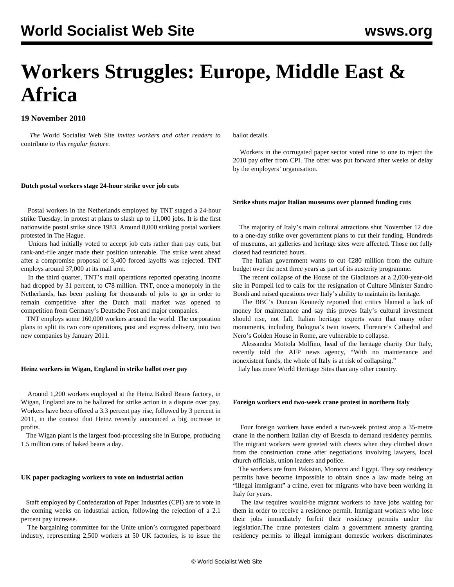# **Workers Struggles: Europe, Middle East & Africa**

### **19 November 2010**

 *The* World Socialist Web Site *invites workers and other readers to* [contribute](/wsws/dd-formmailer/dd-formmailer.php ) *to this regular feature.*

ballot details.

 Workers in the corrugated paper sector voted nine to one to reject the 2010 pay offer from CPI. The offer was put forward after weeks of delay by the employers' organisation.

#### **Dutch postal workers stage 24-hour strike over job cuts**

 Postal workers in the Netherlands employed by TNT staged a 24-hour strike Tuesday, in protest at plans to slash up to 11,000 jobs. It is the first nationwide postal strike since 1983. Around 8,000 striking postal workers protested in The Hague.

 Unions had initially voted to accept job cuts rather than pay cuts, but rank-and-file anger made their position untenable. The strike went ahead after a compromise proposal of 3,400 forced layoffs was rejected. TNT employs around 37,000 at its mail arm.

 In the third quarter, TNT's mail operations reported operating income had dropped by 31 percent, to  $\epsilon$ 78 million. TNT, once a monopoly in the Netherlands, has been pushing for thousands of jobs to go in order to remain competitive after the Dutch mail market was opened to competition from Germany's Deutsche Post and major companies.

 TNT employs some 160,000 workers around the world. The corporation plans to split its two core operations, post and express delivery, into two new companies by January 2011.

#### **Heinz workers in Wigan, England in strike ballot over pay**

 Around 1,200 workers employed at the Heinz Baked Beans factory, in Wigan, England are to be balloted for strike action in a dispute over pay. Workers have been offered a 3.3 percent pay rise, followed by 3 percent in 2011, in the context that Heinz recently announced a big increase in profits.

 The Wigan plant is the largest food-processing site in Europe, producing 1.5 million cans of baked beans a day.

#### **UK paper packaging workers to vote on industrial action**

 Staff employed by Confederation of Paper Industries (CPI) are to vote in the coming weeks on industrial action, following the rejection of a 2.1 percent pay increase.

 The bargaining committee for the Unite union's corrugated paperboard industry, representing 2,500 workers at 50 UK factories, is to issue the **Strike shuts major Italian museums over planned funding cuts**

 The majority of Italy's main cultural attractions shut November 12 due to a one-day strike over government plans to cut their funding. Hundreds of museums, art galleries and heritage sites were affected. Those not fully closed had restricted hours.

 The Italian government wants to cut €280 million from the culture budget over the next three years as part of its austerity programme.

 The recent collapse of the House of the Gladiators at a 2,000-year-old site in Pompeii led to calls for the resignation of Culture Minister Sandro Bondi and raised questions over Italy's ability to maintain its heritage.

 The BBC's Duncan Kennedy reported that critics blamed a lack of money for maintenance and say this proves Italy's cultural investment should rise, not fall. Italian heritage experts warn that many other monuments, including Bologna's twin towers, Florence's Cathedral and Nero's Golden House in Rome, are vulnerable to collapse.

 Alessandra Mottola Molfino, head of the heritage charity Our Italy, recently told the AFP news agency, "With no maintenance and nonexistent funds, the whole of Italy is at risk of collapsing."

Italy has more World Heritage Sites than any other country.

#### **Foreign workers end two-week crane protest in northern Italy**

 Four foreign workers have ended a two-week protest atop a 35-metre crane in the northern Italian city of Brescia to demand residency permits. The migrant workers were greeted with cheers when they climbed down from the construction crane after negotiations involving lawyers, local church officials, union leaders and police.

 The workers are from Pakistan, Morocco and Egypt. They say residency permits have become impossible to obtain since a law made being an "illegal immigrant" a crime, even for migrants who have been working in Italy for years.

 The law requires would-be migrant workers to have jobs waiting for them in order to receive a residence permit. Immigrant workers who lose their jobs immediately forfeit their residency permits under the legislation.The crane protesters claim a government amnesty granting residency permits to illegal immigrant domestic workers discriminates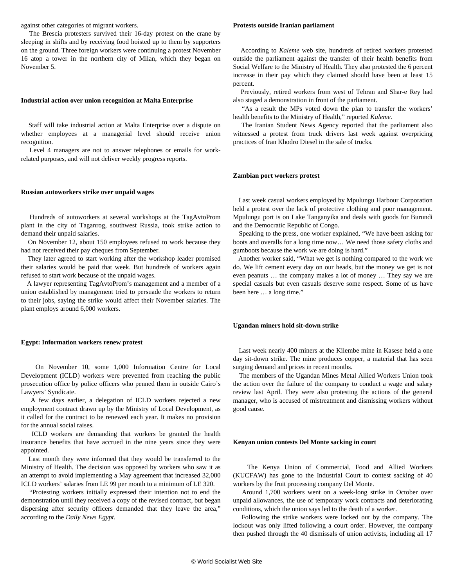against other categories of migrant workers.

 The Brescia protesters survived their 16-day protest on the crane by sleeping in shifts and by receiving food hoisted up to them by supporters on the ground. Three foreign workers were continuing a protest November 16 atop a tower in the northern city of Milan, which they began on November 5.

#### **Industrial action over union recognition at Malta Enterprise**

 Staff will take industrial action at Malta Enterprise over a dispute on whether employees at a managerial level should receive union recognition.

 Level 4 managers are not to answer telephones or emails for workrelated purposes, and will not deliver weekly progress reports.

#### **Russian autoworkers strike over unpaid wages**

 Hundreds of autoworkers at several workshops at the TagAvtoProm plant in the city of Taganrog, southwest Russia, took strike action to demand their unpaid salaries.

 On November 12, about 150 employees refused to work because they had not received their pay cheques from September.

 They later agreed to start working after the workshop leader promised their salaries would be paid that week. But hundreds of workers again refused to start work because of the unpaid wages.

 A lawyer representing TagAvtoProm's management and a member of a union established by management tried to persuade the workers to return to their jobs, saying the strike would affect their November salaries. The plant employs around 6,000 workers.

#### **Egypt: Information workers renew protest**

 On November 10, some 1,000 Information Centre for Local Development (ICLD) workers were prevented from reaching the public prosecution office by police officers who penned them in outside Cairo's Lawyers' Syndicate.

 A few days earlier, a delegation of ICLD workers rejected a new employment contract drawn up by the Ministry of Local Development, as it called for the contract to be renewed each year. It makes no provision for the annual social raises.

 ICLD workers are demanding that workers be granted the health insurance benefits that have accrued in the nine years since they were appointed.

 Last month they were informed that they would be transferred to the Ministry of Health. The decision was opposed by workers who saw it as an attempt to avoid implementing a May agreement that increased 32,000 ICLD workers' salaries from LE 99 per month to a minimum of LE 320.

 "Protesting workers initially expressed their intention not to end the demonstration until they received a copy of the revised contract, but began dispersing after security officers demanded that they leave the area," according to the *Daily News Egypt*.

#### **Protests outside Iranian parliament**

 According to *Kaleme* web site, hundreds of retired workers protested outside the parliament against the transfer of their health benefits from Social Welfare to the Ministry of Health. They also protested the 6 percent increase in their pay which they claimed should have been at least 15 percent.

 Previously, retired workers from west of Tehran and Shar-e Rey had also staged a demonstration in front of the parliament.

 "As a result the MPs voted down the plan to transfer the workers' health benefits to the Ministry of Health," reported *Kaleme.*

 The Iranian Student News Agency reported that the parliament also witnessed a protest from truck drivers last week against overpricing practices of Iran Khodro Diesel in the sale of trucks.

#### **Zambian port workers protest**

 Last week casual workers employed by Mpulungu Harbour Corporation held a protest over the lack of protective clothing and poor management. Mpulungu port is on Lake Tanganyika and deals with goods for Burundi and the Democratic Republic of Congo.

 Speaking to the press, one worker explained, "We have been asking for boots and overalls for a long time now… We need those safety cloths and gumboots because the work we are doing is hard."

 Another worker said, "What we get is nothing compared to the work we do. We lift cement every day on our heads, but the money we get is not even peanuts … the company makes a lot of money … They say we are special casuals but even casuals deserve some respect. Some of us have been here … a long time."

#### **Ugandan miners hold sit-down strike**

 Last week nearly 400 miners at the Kilembe mine in Kasese held a one day sit-down strike. The mine produces copper, a material that has seen surging demand and prices in recent months.

 The members of the Ugandan Mines Metal Allied Workers Union took the action over the failure of the company to conduct a wage and salary review last April. They were also protesting the actions of the general manager, who is accused of mistreatment and dismissing workers without good cause.

#### **Kenyan union contests Del Monte sacking in court**

 The Kenya Union of Commercial, Food and Allied Workers (KUCFAW) has gone to the Industrial Court to contest sacking of 40 workers by the fruit processing company Del Monte.

 Around 1,700 workers went on a week-long strike in October over unpaid allowances, the use of temporary work contracts and deteriorating conditions, which the union says led to the death of a worker.

 Following the strike workers were locked out by the company. The lockout was only lifted following a court order. However, the company then pushed through the 40 dismissals of union activists, including all 17